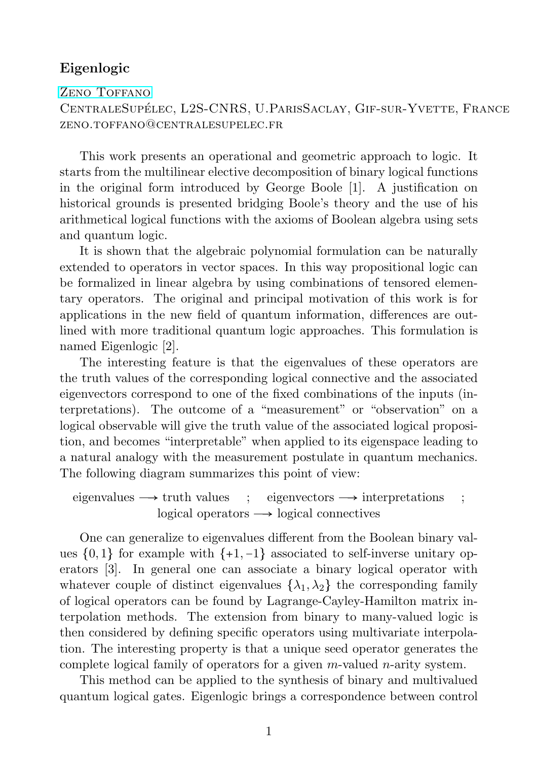## Eigenlogic

ZENO TOFFANO CentraleSupelec, L2S-CNRS, U.ParisSaclay, Gif-sur-Yvette, France ´  $ZENO.TOFFANO@CENTR ALESUPET.EC.FR$ 

This work presents an operational and geometric approach to logic. It starts from the multilinear elective decomposition of binary logical functions in the original form introduced by George Boole [1]. A justification on historical grounds is presented bridging Boole's theory and the use of his arithmetical logical functions with the axioms of Boolean algebra using sets and quantum logic.

It is shown that the algebraic polynomial formulation can be naturally extended to operators in vector spaces. In this way propositional logic can be formalized in linear algebra by using combinations of tensored elementary operators. The original and principal motivation of this work is for applications in the new field of quantum information, differences are outlined with more traditional quantum logic approaches. This formulation is named Eigenlogic [2].

The interesting feature is that the eigenvalues of these operators are the truth values of the corresponding logical connective and the associated eigenvectors correspond to one of the fixed combinations of the inputs (interpretations). The outcome of a "measurement" or "observation" on a logical observable will give the truth value of the associated logical proposition, and becomes "interpretable" when applied to its eigenspace leading to a natural analogy with the measurement postulate in quantum mechanics. The following diagram summarizes this point of view:

eigenvalues  $\rightarrow$  truth values ; eigenvectors  $\rightarrow$  interpretations ; logical operators  $\rightarrow$  logical connectives

One can generalize to eigenvalues different from the Boolean binary values  $\{0, 1\}$  for example with  $\{+1, -1\}$  associated to self-inverse unitary operators [3]. In general one can associate a binary logical operator with whatever couple of distinct eigenvalues  $\{\lambda_1, \lambda_2\}$  the corresponding family of logical operators can be found by Lagrange-Cayley-Hamilton matrix interpolation methods. The extension from binary to many-valued logic is then considered by defining specific operators using multivariate interpolation. The interesting property is that a unique seed operator generates the complete logical family of operators for a given  $m$ -valued  $n$ -arity system.

This method can be applied to the synthesis of binary and multivalued quantum logical gates. Eigenlogic brings a correspondence between control